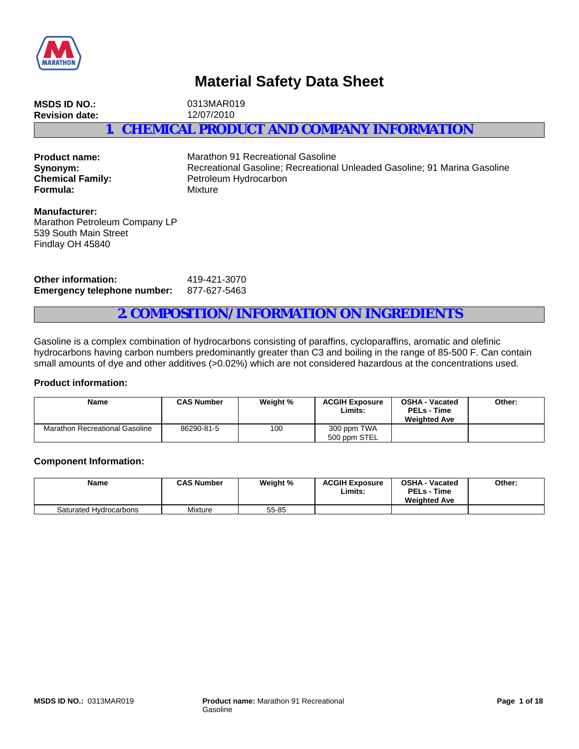

# **Material Safety Data Sheet**

**MSDS ID NO.:** 0313MAR019 **Revision date:** 12/07/2010 **1. CHEMICAL PRODUCT AND COMPANY INFORMATION**

**Formula:** Mixture

**Product name:** Marathon 91 Recreational Gasoline **Synonym:** Recreational Gasoline; Recreational Unleaded Gasoline; 91 Marina Gasoline<br> **Chemical Family:** Petroleum Hydrocarbon Petroleum Hydrocarbon

**Manufacturer:** Marathon Petroleum Company LP 539 South Main Street Findlay OH 45840

**Other information:** 419-421-3070 **Emergency telephone number:** 877-627-5463

## **2. COMPOSITION/INFORMATION ON INGREDIENTS**

Gasoline is a complex combination of hydrocarbons consisting of paraffins, cycloparaffins, aromatic and olefinic hydrocarbons having carbon numbers predominantly greater than C3 and boiling in the range of 85-500 F. Can contain small amounts of dye and other additives (>0.02%) which are not considered hazardous at the concentrations used.

### **Product information:**

| <b>Name</b>                    | <b>CAS Number</b> | Weight % | <b>ACGIH Exposure</b><br>Limits: | <b>OSHA - Vacated</b><br><b>PELs - Time</b><br><b>Weighted Ave</b> | Other: |
|--------------------------------|-------------------|----------|----------------------------------|--------------------------------------------------------------------|--------|
| Marathon Recreational Gasoline | 86290-81-5        | 100      | 300 ppm TWA<br>500 ppm STEL      |                                                                    |        |

### **Component Information:**

| <b>Name</b>            | <b>CAS Number</b> | Weight % | <b>ACGIH Exposure</b><br>Limits | <b>OSHA - Vacated</b><br><b>PELs - Time</b><br><b>Weighted Ave</b> | Other: |
|------------------------|-------------------|----------|---------------------------------|--------------------------------------------------------------------|--------|
| Saturated Hydrocarbons | Mixture           | 55-85    |                                 |                                                                    |        |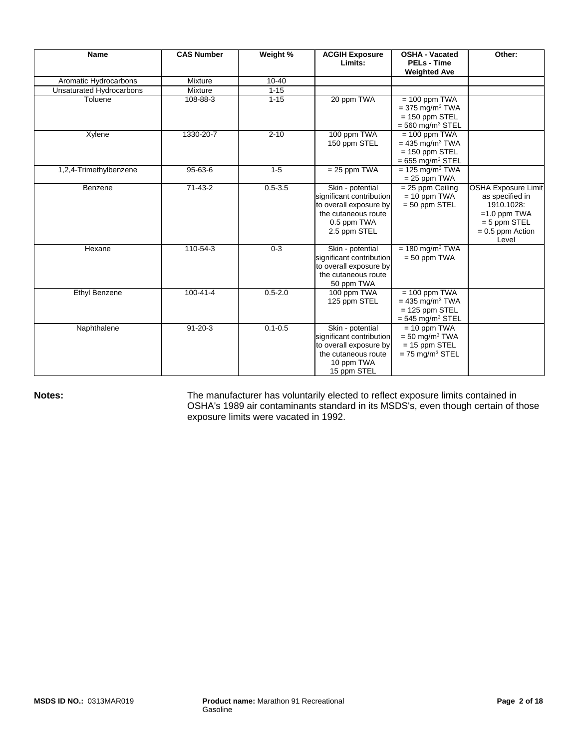| <b>Name</b>              | <b>CAS Number</b> | Weight %    | <b>ACGIH Exposure</b><br>Limits:                                                                                             | <b>OSHA - Vacated</b><br><b>PELs - Time</b><br><b>Weighted Ave</b>                                     | Other:                                                                                                                         |
|--------------------------|-------------------|-------------|------------------------------------------------------------------------------------------------------------------------------|--------------------------------------------------------------------------------------------------------|--------------------------------------------------------------------------------------------------------------------------------|
| Aromatic Hydrocarbons    | Mixture           | $10 - 40$   |                                                                                                                              |                                                                                                        |                                                                                                                                |
| Unsaturated Hydrocarbons | Mixture           | $1 - 15$    |                                                                                                                              |                                                                                                        |                                                                                                                                |
| Toluene                  | 108-88-3          | $1 - 15$    | 20 ppm TWA                                                                                                                   | $= 100$ ppm TWA<br>$= 375$ mg/m <sup>3</sup> TWA<br>$= 150$ ppm STEL<br>$=$ 560 mg/m <sup>3</sup> STEL |                                                                                                                                |
| Xylene                   | 1330-20-7         | $2 - 10$    | 100 ppm TWA<br>150 ppm STEL                                                                                                  | $= 100$ ppm TWA<br>$= 435$ mg/m <sup>3</sup> TWA<br>$= 150$ ppm STEL<br>$= 655$ mg/m <sup>3</sup> STEL |                                                                                                                                |
| 1,2,4-Trimethylbenzene   | 95-63-6           | $1 - 5$     | $= 25$ ppm TWA                                                                                                               | $= 125$ mg/m <sup>3</sup> TWA<br>$= 25$ ppm TWA                                                        |                                                                                                                                |
| Benzene                  | $71-43-2$         | $0.5 - 3.5$ | Skin - potential<br>significant contribution<br>to overall exposure by<br>the cutaneous route<br>0.5 ppm TWA<br>2.5 ppm STEL | $= 25$ ppm Ceiling<br>$= 10$ ppm TWA<br>$= 50$ ppm STEL                                                | <b>OSHA Exposure Limit</b><br>as specified in<br>1910.1028:<br>$=1.0$ ppm TWA<br>$= 5$ ppm STEL<br>$= 0.5$ ppm Action<br>Level |
| Hexane                   | 110-54-3          | $0 - 3$     | Skin - potential<br>significant contribution<br>to overall exposure by<br>the cutaneous route<br>50 ppm TWA                  | $= 180$ mg/m <sup>3</sup> TWA<br>$= 50$ ppm TWA                                                        |                                                                                                                                |
| Ethyl Benzene            | $100 - 41 - 4$    | $0.5 - 2.0$ | 100 ppm TWA<br>125 ppm STEL                                                                                                  | $= 100$ ppm TWA<br>$= 435$ mg/m <sup>3</sup> TWA<br>$= 125$ ppm STEL<br>$=$ 545 mg/m <sup>3</sup> STEL |                                                                                                                                |
| Naphthalene              | $91 - 20 - 3$     | $0.1 - 0.5$ | Skin - potential<br>significant contribution<br>to overall exposure by<br>the cutaneous route<br>10 ppm TWA<br>15 ppm STEL   | $= 10$ ppm TWA<br>$=$ 50 mg/m <sup>3</sup> TWA<br>$= 15$ ppm STEL<br>$= 75$ mg/m <sup>3</sup> STEL     |                                                                                                                                |

Notes: **Notes:** The manufacturer has voluntarily elected to reflect exposure limits contained in OSHA's 1989 air contaminants standard in its MSDS's, even though certain of those exposure limits were vacated in 1992.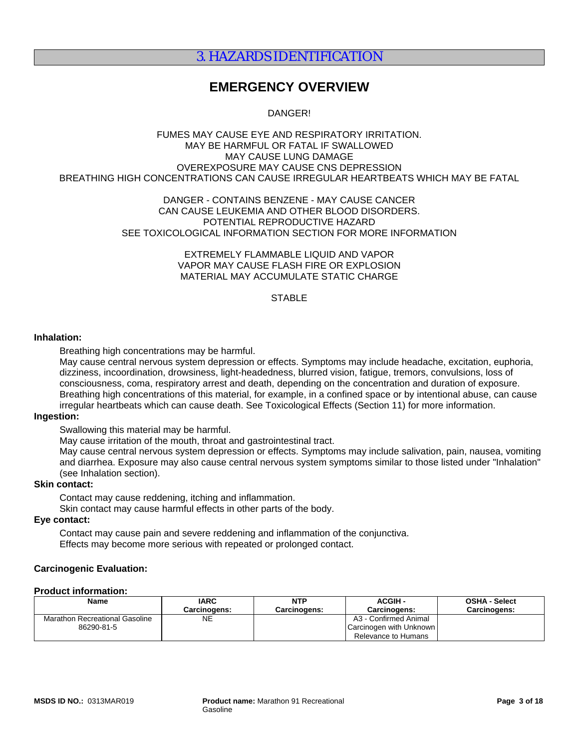## 3. HAZARDS IDENTIFICATION

## **EMERGENCY OVERVIEW**

DANGER!

#### FUMES MAY CAUSE EYE AND RESPIRATORY IRRITATION. MAY BE HARMFUL OR FATAL IF SWALLOWED MAY CAUSE LUNG DAMAGE OVEREXPOSURE MAY CAUSE CNS DEPRESSION BREATHING HIGH CONCENTRATIONS CAN CAUSE IRREGULAR HEARTBEATS WHICH MAY BE FATAL

### DANGER - CONTAINS BENZENE - MAY CAUSE CANCER CAN CAUSE LEUKEMIA AND OTHER BLOOD DISORDERS. POTENTIAL REPRODUCTIVE HAZARD SEE TOXICOLOGICAL INFORMATION SECTION FOR MORE INFORMATION

EXTREMELY FLAMMABLE LIQUID AND VAPOR VAPOR MAY CAUSE FLASH FIRE OR EXPLOSION MATERIAL MAY ACCUMULATE STATIC CHARGE

## **STABLE**

#### **Inhalation:**

Breathing high concentrations may be harmful.

May cause central nervous system depression or effects. Symptoms may include headache, excitation, euphoria, dizziness, incoordination, drowsiness, light-headedness, blurred vision, fatigue, tremors, convulsions, loss of consciousness, coma, respiratory arrest and death, depending on the concentration and duration of exposure. Breathing high concentrations of this material, for example, in a confined space or by intentional abuse, can cause irregular heartbeats which can cause death. See Toxicological Effects (Section 11) for more information.

### **Ingestion:**

Swallowing this material may be harmful.

May cause irritation of the mouth, throat and gastrointestinal tract.

May cause central nervous system depression or effects. Symptoms may include salivation, pain, nausea, vomiting and diarrhea. Exposure may also cause central nervous system symptoms similar to those listed under "Inhalation" (see Inhalation section).

### **Skin contact:**

Contact may cause reddening, itching and inflammation.

Skin contact may cause harmful effects in other parts of the body.

## **Eye contact:**

Contact may cause pain and severe reddening and inflammation of the conjunctiva. Effects may become more serious with repeated or prolonged contact.

### **Carcinogenic Evaluation:**

#### **Product information:**

| Name                                  | <b>IARC</b>  | <b>NTP</b>          | <b>ACGIH-</b>           | <b>OSHA - Select</b> |
|---------------------------------------|--------------|---------------------|-------------------------|----------------------|
|                                       | Carcinogens: | <b>Carcinogens:</b> | Carcinogens:            | <b>Carcinogens:</b>  |
| <b>Marathon Recreational Gasoline</b> | NΕ           |                     | A3 - Confirmed Animal   |                      |
| 86290-81-5                            |              |                     | Carcinogen with Unknown |                      |
|                                       |              |                     | Relevance to Humans     |                      |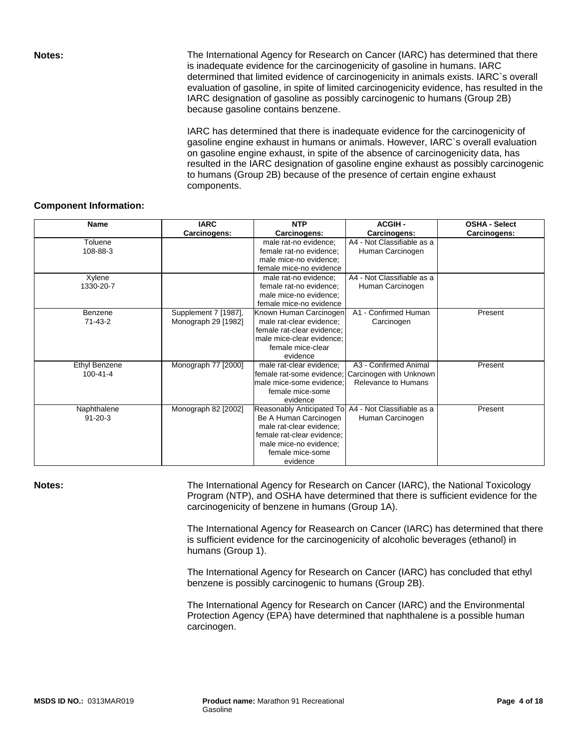**Notes:** The International Agency for Research on Cancer (IARC) has determined that there is inadequate evidence for the carcinogenicity of gasoline in humans. IARC determined that limited evidence of carcinogenicity in animals exists. IARC`s overall evaluation of gasoline, in spite of limited carcinogenicity evidence, has resulted in the IARC designation of gasoline as possibly carcinogenic to humans (Group 2B) because gasoline contains benzene.

> IARC has determined that there is inadequate evidence for the carcinogenicity of gasoline engine exhaust in humans or animals. However, IARC`s overall evaluation on gasoline engine exhaust, in spite of the absence of carcinogenicity data, has resulted in the IARC designation of gasoline engine exhaust as possibly carcinogenic to humans (Group 2B) because of the presence of certain engine exhaust components.

### **Component Information:**

| <b>Name</b>          | <b>IARC</b>          | <b>NTP</b>                                           | <b>ACGIH-</b>              | <b>OSHA - Select</b> |
|----------------------|----------------------|------------------------------------------------------|----------------------------|----------------------|
|                      | Carcinogens:         | Carcinogens:                                         | Carcinogens:               | Carcinogens:         |
| Toluene              |                      | male rat-no evidence;                                | A4 - Not Classifiable as a |                      |
| 108-88-3             |                      | female rat-no evidence;                              | Human Carcinogen           |                      |
|                      |                      | male mice-no evidence;                               |                            |                      |
|                      |                      | female mice-no evidence                              |                            |                      |
| Xylene               |                      | male rat-no evidence;                                | A4 - Not Classifiable as a |                      |
| 1330-20-7            |                      | female rat-no evidence:                              | Human Carcinogen           |                      |
|                      |                      | male mice-no evidence;                               |                            |                      |
|                      |                      | female mice-no evidence                              |                            |                      |
| Benzene              | Supplement 7 [1987], | Known Human Carcinogen                               | A1 - Confirmed Human       | Present              |
| $71 - 43 - 2$        | Monograph 29 [1982]  | male rat-clear evidence;                             | Carcinogen                 |                      |
|                      |                      | female rat-clear evidence;                           |                            |                      |
|                      |                      | male mice-clear evidence:                            |                            |                      |
|                      |                      | female mice-clear                                    |                            |                      |
|                      |                      | evidence                                             |                            |                      |
| <b>Ethyl Benzene</b> | Monograph 77 [2000]  | male rat-clear evidence;                             | A3 - Confirmed Animal      | Present              |
| $100 - 41 - 4$       |                      | female rat-some evidence:                            | Carcinogen with Unknown    |                      |
|                      |                      | male mice-some evidence:                             | Relevance to Humans        |                      |
|                      |                      | female mice-some                                     |                            |                      |
|                      |                      | evidence                                             |                            |                      |
| Naphthalene          | Monograph 82 [2002]  | Reasonably Anticipated To A4 - Not Classifiable as a |                            | Present              |
| $91 - 20 - 3$        |                      | Be A Human Carcinogen                                | Human Carcinogen           |                      |
|                      |                      | male rat-clear evidence;                             |                            |                      |
|                      |                      | female rat-clear evidence;                           |                            |                      |
|                      |                      | male mice-no evidence;                               |                            |                      |
|                      |                      | female mice-some                                     |                            |                      |
|                      |                      | evidence                                             |                            |                      |

**Notes: The International Agency for Research on Cancer (IARC), the National Toxicology** Program (NTP), and OSHA have determined that there is sufficient evidence for the carcinogenicity of benzene in humans (Group 1A).

> The International Agency for Reasearch on Cancer (IARC) has determined that there is sufficient evidence for the carcinogenicity of alcoholic beverages (ethanol) in humans (Group 1).

The International Agency for Research on Cancer (IARC) has concluded that ethyl benzene is possibly carcinogenic to humans (Group 2B).

The International Agency for Research on Cancer (IARC) and the Environmental Protection Agency (EPA) have determined that naphthalene is a possible human carcinogen.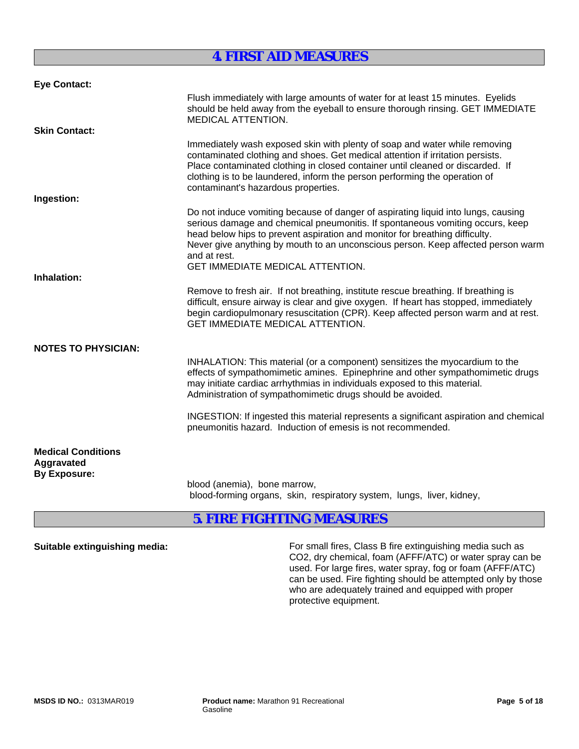## **4. FIRST AID MEASURES**

| <b>Eye Contact:</b>                                            |                                                                                                                                                                                                                                                                                                                                                                                                  |
|----------------------------------------------------------------|--------------------------------------------------------------------------------------------------------------------------------------------------------------------------------------------------------------------------------------------------------------------------------------------------------------------------------------------------------------------------------------------------|
|                                                                | Flush immediately with large amounts of water for at least 15 minutes. Eyelids<br>should be held away from the eyeball to ensure thorough rinsing. GET IMMEDIATE<br><b>MEDICAL ATTENTION.</b>                                                                                                                                                                                                    |
| <b>Skin Contact:</b>                                           |                                                                                                                                                                                                                                                                                                                                                                                                  |
|                                                                | Immediately wash exposed skin with plenty of soap and water while removing<br>contaminated clothing and shoes. Get medical attention if irritation persists.<br>Place contaminated clothing in closed container until cleaned or discarded. If<br>clothing is to be laundered, inform the person performing the operation of<br>contaminant's hazardous properties.                              |
| Ingestion:                                                     |                                                                                                                                                                                                                                                                                                                                                                                                  |
|                                                                | Do not induce vomiting because of danger of aspirating liquid into lungs, causing<br>serious damage and chemical pneumonitis. If spontaneous vomiting occurs, keep<br>head below hips to prevent aspiration and monitor for breathing difficulty.<br>Never give anything by mouth to an unconscious person. Keep affected person warm<br>and at rest.<br><b>GET IMMEDIATE MEDICAL ATTENTION.</b> |
| Inhalation:                                                    |                                                                                                                                                                                                                                                                                                                                                                                                  |
|                                                                | Remove to fresh air. If not breathing, institute rescue breathing. If breathing is<br>difficult, ensure airway is clear and give oxygen. If heart has stopped, immediately<br>begin cardiopulmonary resuscitation (CPR). Keep affected person warm and at rest.<br><b>GET IMMEDIATE MEDICAL ATTENTION.</b>                                                                                       |
| <b>NOTES TO PHYSICIAN:</b>                                     |                                                                                                                                                                                                                                                                                                                                                                                                  |
|                                                                | INHALATION: This material (or a component) sensitizes the myocardium to the<br>effects of sympathomimetic amines. Epinephrine and other sympathomimetic drugs<br>may initiate cardiac arrhythmias in individuals exposed to this material.<br>Administration of sympathomimetic drugs should be avoided.                                                                                         |
|                                                                | INGESTION: If ingested this material represents a significant aspiration and chemical<br>pneumonitis hazard. Induction of emesis is not recommended.                                                                                                                                                                                                                                             |
| <b>Medical Conditions</b><br>Aggravated<br><b>By Exposure:</b> |                                                                                                                                                                                                                                                                                                                                                                                                  |
|                                                                | blood (anemia), bone marrow,<br>blood-forming organs, skin, respiratory system, lungs, liver, kidney,                                                                                                                                                                                                                                                                                            |

## **5. FIRE FIGHTING MEASURES**

**Suitable extinguishing media:** For small fires, Class B fire extinguishing media such as CO2, dry chemical, foam (AFFF/ATC) or water spray can be used. For large fires, water spray, fog or foam (AFFF/ATC) can be used. Fire fighting should be attempted only by those who are adequately trained and equipped with proper protective equipment.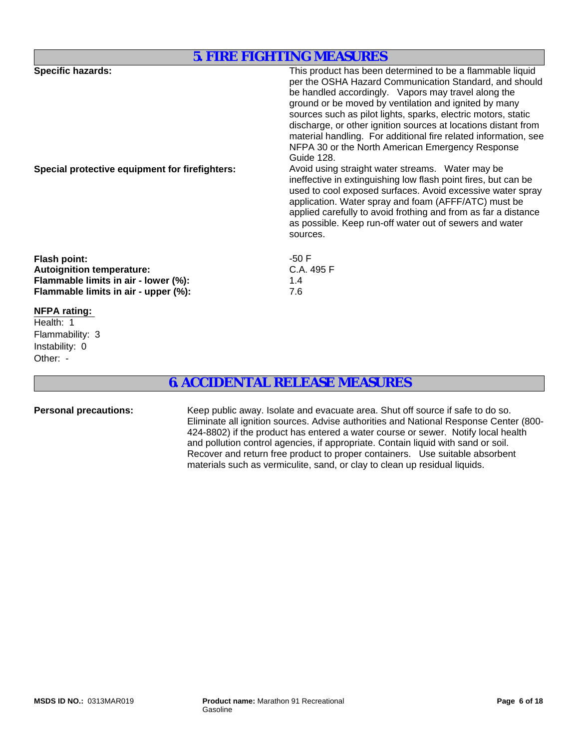## **5. FIRE FIGHTING MEASURES**

| <b>Specific hazards:</b>                       | This product has been determined to be a flammable liquid       |
|------------------------------------------------|-----------------------------------------------------------------|
|                                                |                                                                 |
|                                                | per the OSHA Hazard Communication Standard, and should          |
|                                                | be handled accordingly. Vapors may travel along the             |
|                                                | ground or be moved by ventilation and ignited by many           |
|                                                | sources such as pilot lights, sparks, electric motors, static   |
|                                                | discharge, or other ignition sources at locations distant from  |
|                                                | material handling. For additional fire related information, see |
|                                                | NFPA 30 or the North American Emergency Response                |
|                                                |                                                                 |
|                                                | Guide 128.                                                      |
| Special protective equipment for firefighters: | Avoid using straight water streams. Water may be                |
|                                                | ineffective in extinguishing low flash point fires, but can be  |
|                                                | used to cool exposed surfaces. Avoid excessive water spray      |
|                                                | application. Water spray and foam (AFFF/ATC) must be            |
|                                                | applied carefully to avoid frothing and from as far a distance  |
|                                                | as possible. Keep run-off water out of sewers and water         |
|                                                |                                                                 |
|                                                | sources.                                                        |
| <b>Flash point:</b>                            | -50 F                                                           |
|                                                |                                                                 |
| <b>Autoignition temperature:</b>               | C.A. 495 F                                                      |
| Flammable limits in air - lower (%):           | 1.4                                                             |
| Flammable limits in air - upper (%):           | 7.6                                                             |
| $\mathbf{r}$                                   |                                                                 |

## **NFPA rating:**

Other: - Flammability: 3 Health: 1 Instability: 0

## **6. ACCIDENTAL RELEASE MEASURES**

Personal precautions: Keep public away. Isolate and evacuate area. Shut off source if safe to do so. Eliminate all ignition sources. Advise authorities and National Response Center (800- 424-8802) if the product has entered a water course or sewer. Notify local health and pollution control agencies, if appropriate. Contain liquid with sand or soil. Recover and return free product to proper containers. Use suitable absorbent materials such as vermiculite, sand, or clay to clean up residual liquids.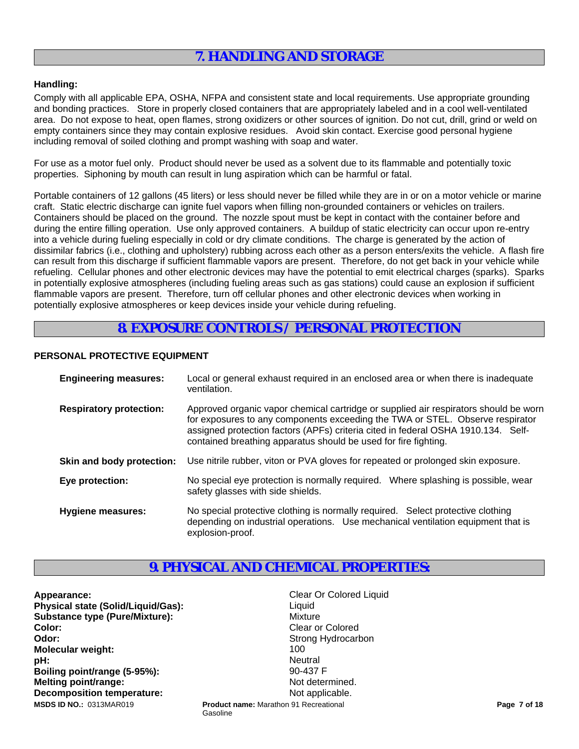## **7. HANDLING AND STORAGE**

### **Handling:**

Comply with all applicable EPA, OSHA, NFPA and consistent state and local requirements. Use appropriate grounding and bonding practices. Store in properly closed containers that are appropriately labeled and in a cool well-ventilated area. Do not expose to heat, open flames, strong oxidizers or other sources of ignition. Do not cut, drill, grind or weld on empty containers since they may contain explosive residues. Avoid skin contact. Exercise good personal hygiene including removal of soiled clothing and prompt washing with soap and water.

For use as a motor fuel only. Product should never be used as a solvent due to its flammable and potentially toxic properties. Siphoning by mouth can result in lung aspiration which can be harmful or fatal.

Portable containers of 12 gallons (45 liters) or less should never be filled while they are in or on a motor vehicle or marine craft. Static electric discharge can ignite fuel vapors when filling non-grounded containers or vehicles on trailers. Containers should be placed on the ground. The nozzle spout must be kept in contact with the container before and during the entire filling operation. Use only approved containers. A buildup of static electricity can occur upon re-entry into a vehicle during fueling especially in cold or dry climate conditions. The charge is generated by the action of dissimilar fabrics (i.e., clothing and upholstery) rubbing across each other as a person enters/exits the vehicle. A flash fire can result from this discharge if sufficient flammable vapors are present. Therefore, do not get back in your vehicle while refueling. Cellular phones and other electronic devices may have the potential to emit electrical charges (sparks). Sparks in potentially explosive atmospheres (including fueling areas such as gas stations) could cause an explosion if sufficient flammable vapors are present. Therefore, turn off cellular phones and other electronic devices when working in potentially explosive atmospheres or keep devices inside your vehicle during refueling.

## **8. EXPOSURE CONTROLS / PERSONAL PROTECTION**

## **PERSONAL PROTECTIVE EQUIPMENT**

| <b>Engineering measures:</b>   | Local or general exhaust required in an enclosed area or when there is inadequate<br>ventilation.                                                                                                                                                                                                                             |
|--------------------------------|-------------------------------------------------------------------------------------------------------------------------------------------------------------------------------------------------------------------------------------------------------------------------------------------------------------------------------|
| <b>Respiratory protection:</b> | Approved organic vapor chemical cartridge or supplied air respirators should be worn<br>for exposures to any components exceeding the TWA or STEL. Observe respirator<br>assigned protection factors (APFs) criteria cited in federal OSHA 1910.134. Self-<br>contained breathing apparatus should be used for fire fighting. |
| Skin and body protection:      | Use nitrile rubber, viton or PVA gloves for repeated or prolonged skin exposure.                                                                                                                                                                                                                                              |
| Eye protection:                | No special eye protection is normally required. Where splashing is possible, wear<br>safety glasses with side shields.                                                                                                                                                                                                        |
| <b>Hygiene measures:</b>       | No special protective clothing is normally required. Select protective clothing<br>depending on industrial operations. Use mechanical ventilation equipment that is<br>explosion-proof.                                                                                                                                       |

## **9. PHYSICAL AND CHEMICAL PROPERTIES:**

Gasoline

**Appearance:** Clear Or Colored Liquid **Physical state (Solid/Liquid/Gas):** Liquid Liquid **Substance type (Pure/Mixture):** Mixture **Color:** Clear or Colored **Colored Clear or Colored Odor:** Strong Hydrocarbon **Strong Hydrocarbon Molecular weight:** 100<br> **Note:** 100<br> **Note:** 100<br> **Note:** 100 **pH:** Neutral **Boiling point/range (5-95%):** 90-437 F **Melting point/range:** Not determined. **Decomposition temperature:** Not applicable. **Product name:** Marathon 91 Recreational **Product name: Marathon 91 Recreational <b>Page 7 of 18 Page 7 of 18 Page 7 of 18**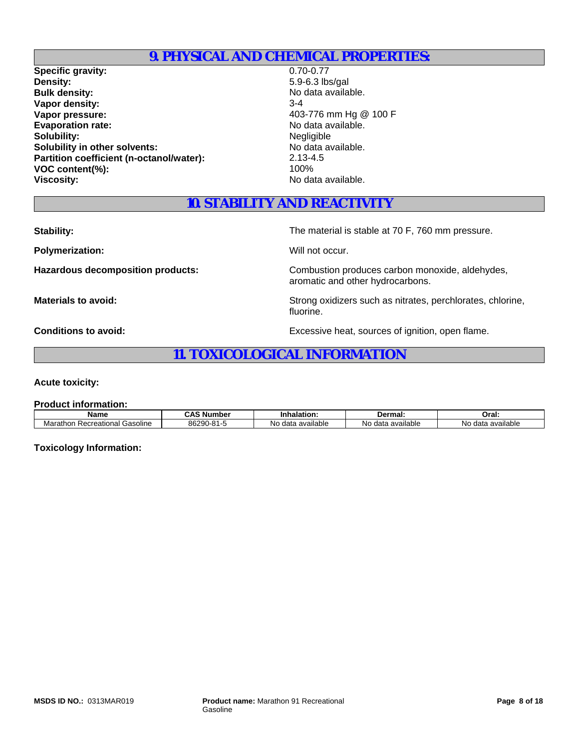## **9. PHYSICAL AND CHEMICAL PROPERTIES:**

**Specific gravity:** 0.70-0.77<br> **Density:** 0.70-0.77<br>
5.9-6.3 lb: **Bulk density:** No data available. **Vapor density:** 3-4 **Vapor pressure:**  $403-776$  mm Hg @ 100 F Evaporation rate:<br>
Solubility:<br>
Solubility:<br>
Negligible **Solubility:**<br> **Solubility** in other solvents:<br> **Solubility** in other solvents:<br> **Solubility** in other solvents: **Solubility in other solvents: Partition coefficient (n-octanol/water):** 2.13-4.5<br>VOC content(%): 100% **VOC content(%): Viscosity:** No data available.

**Density:** 5.9-6.3 lbs/gal

## **10. STABILITY AND REACTIVITY**

**Polymerization:** Will not occur.

**Stability:** The material is stable at 70 F, 760 mm pressure.

Hazardous decomposition products: Combustion produces carbon monoxide, aldehydes, aromatic and other hydrocarbons.

**Materials to avoid:** National Strong oxidizers such as nitrates, perchlorates, chlorine, fluorine.

**Conditions to avoid:** Excessive heat, sources of ignition, open flame.

## **11. TOXICOLOGICAL INFORMATION**

**Acute toxicity:**

**Product information:**

| Name                                   | Number                                   | Inhalation:              | Dermal:                   | Oral:                   |
|----------------------------------------|------------------------------------------|--------------------------|---------------------------|-------------------------|
| ' Gasoline<br>Marathor<br>Recreational | 1.8 <sup>4</sup><br>00000<br>50Z.YU<br>ີ | <br>available<br>No data | available<br>data<br>טויי | available<br>Nc<br>data |

**Toxicology Information:**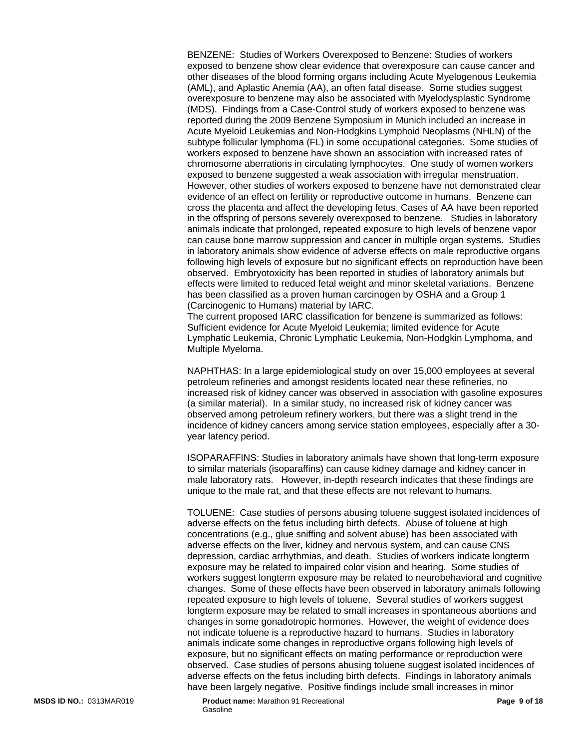BENZENE: Studies of Workers Overexposed to Benzene: Studies of workers exposed to benzene show clear evidence that overexposure can cause cancer and other diseases of the blood forming organs including Acute Myelogenous Leukemia (AML), and Aplastic Anemia (AA), an often fatal disease. Some studies suggest overexposure to benzene may also be associated with Myelodysplastic Syndrome (MDS). Findings from a Case-Control study of workers exposed to benzene was reported during the 2009 Benzene Symposium in Munich included an increase in Acute Myeloid Leukemias and Non-Hodgkins Lymphoid Neoplasms (NHLN) of the subtype follicular lymphoma (FL) in some occupational categories. Some studies of workers exposed to benzene have shown an association with increased rates of chromosome aberrations in circulating lymphocytes. One study of women workers exposed to benzene suggested a weak association with irregular menstruation. However, other studies of workers exposed to benzene have not demonstrated clear evidence of an effect on fertility or reproductive outcome in humans. Benzene can cross the placenta and affect the developing fetus. Cases of AA have been reported in the offspring of persons severely overexposed to benzene. Studies in laboratory animals indicate that prolonged, repeated exposure to high levels of benzene vapor can cause bone marrow suppression and cancer in multiple organ systems. Studies in laboratory animals show evidence of adverse effects on male reproductive organs following high levels of exposure but no significant effects on reproduction have been observed. Embryotoxicity has been reported in studies of laboratory animals but effects were limited to reduced fetal weight and minor skeletal variations. Benzene has been classified as a proven human carcinogen by OSHA and a Group 1 (Carcinogenic to Humans) material by IARC.

The current proposed IARC classification for benzene is summarized as follows: Sufficient evidence for Acute Myeloid Leukemia; limited evidence for Acute Lymphatic Leukemia, Chronic Lymphatic Leukemia, Non-Hodgkin Lymphoma, and Multiple Myeloma.

NAPHTHAS: In a large epidemiological study on over 15,000 employees at several petroleum refineries and amongst residents located near these refineries, no increased risk of kidney cancer was observed in association with gasoline exposures (a similar material). In a similar study, no increased risk of kidney cancer was observed among petroleum refinery workers, but there was a slight trend in the incidence of kidney cancers among service station employees, especially after a 30 year latency period.

ISOPARAFFINS: Studies in laboratory animals have shown that long-term exposure to similar materials (isoparaffins) can cause kidney damage and kidney cancer in male laboratory rats. However, in-depth research indicates that these findings are unique to the male rat, and that these effects are not relevant to humans.

TOLUENE: Case studies of persons abusing toluene suggest isolated incidences of adverse effects on the fetus including birth defects. Abuse of toluene at high concentrations (e.g., glue sniffing and solvent abuse) has been associated with adverse effects on the liver, kidney and nervous system, and can cause CNS depression, cardiac arrhythmias, and death. Studies of workers indicate longterm exposure may be related to impaired color vision and hearing. Some studies of workers suggest longterm exposure may be related to neurobehavioral and cognitive changes. Some of these effects have been observed in laboratory animals following repeated exposure to high levels of toluene. Several studies of workers suggest longterm exposure may be related to small increases in spontaneous abortions and changes in some gonadotropic hormones. However, the weight of evidence does not indicate toluene is a reproductive hazard to humans. Studies in laboratory animals indicate some changes in reproductive organs following high levels of exposure, but no significant effects on mating performance or reproduction were observed. Case studies of persons abusing toluene suggest isolated incidences of adverse effects on the fetus including birth defects. Findings in laboratory animals have been largely negative. Positive findings include small increases in minor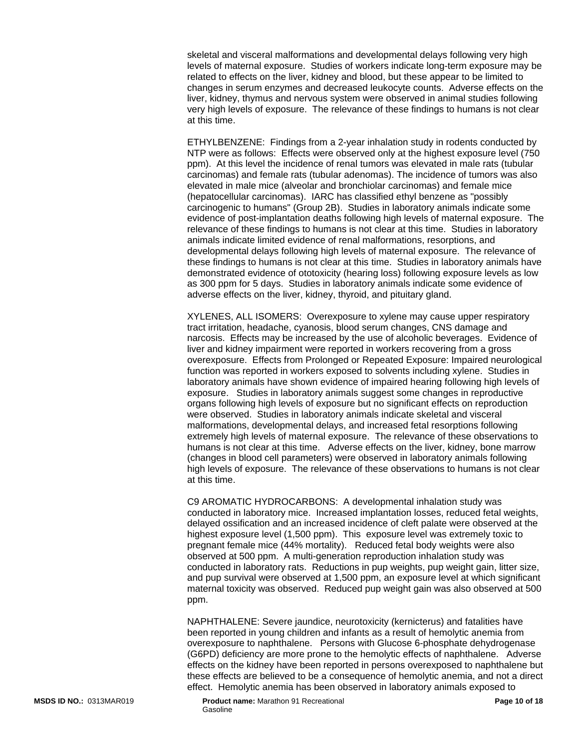skeletal and visceral malformations and developmental delays following very high levels of maternal exposure. Studies of workers indicate long-term exposure may be related to effects on the liver, kidney and blood, but these appear to be limited to changes in serum enzymes and decreased leukocyte counts. Adverse effects on the liver, kidney, thymus and nervous system were observed in animal studies following very high levels of exposure. The relevance of these findings to humans is not clear at this time.

ETHYLBENZENE: Findings from a 2-year inhalation study in rodents conducted by NTP were as follows: Effects were observed only at the highest exposure level (750 ppm). At this level the incidence of renal tumors was elevated in male rats (tubular carcinomas) and female rats (tubular adenomas). The incidence of tumors was also elevated in male mice (alveolar and bronchiolar carcinomas) and female mice (hepatocellular carcinomas). IARC has classified ethyl benzene as "possibly carcinogenic to humans" (Group 2B). Studies in laboratory animals indicate some evidence of post-implantation deaths following high levels of maternal exposure. The relevance of these findings to humans is not clear at this time. Studies in laboratory animals indicate limited evidence of renal malformations, resorptions, and developmental delays following high levels of maternal exposure. The relevance of these findings to humans is not clear at this time. Studies in laboratory animals have demonstrated evidence of ototoxicity (hearing loss) following exposure levels as low as 300 ppm for 5 days. Studies in laboratory animals indicate some evidence of adverse effects on the liver, kidney, thyroid, and pituitary gland.

XYLENES, ALL ISOMERS: Overexposure to xylene may cause upper respiratory tract irritation, headache, cyanosis, blood serum changes, CNS damage and narcosis. Effects may be increased by the use of alcoholic beverages. Evidence of liver and kidney impairment were reported in workers recovering from a gross overexposure. Effects from Prolonged or Repeated Exposure: Impaired neurological function was reported in workers exposed to solvents including xylene. Studies in laboratory animals have shown evidence of impaired hearing following high levels of exposure. Studies in laboratory animals suggest some changes in reproductive organs following high levels of exposure but no significant effects on reproduction were observed. Studies in laboratory animals indicate skeletal and visceral malformations, developmental delays, and increased fetal resorptions following extremely high levels of maternal exposure. The relevance of these observations to humans is not clear at this time. Adverse effects on the liver, kidney, bone marrow (changes in blood cell parameters) were observed in laboratory animals following high levels of exposure. The relevance of these observations to humans is not clear at this time.

C9 AROMATIC HYDROCARBONS: A developmental inhalation study was conducted in laboratory mice. Increased implantation losses, reduced fetal weights, delayed ossification and an increased incidence of cleft palate were observed at the highest exposure level (1,500 ppm). This exposure level was extremely toxic to pregnant female mice (44% mortality). Reduced fetal body weights were also observed at 500 ppm. A multi-generation reproduction inhalation study was conducted in laboratory rats. Reductions in pup weights, pup weight gain, litter size, and pup survival were observed at 1,500 ppm, an exposure level at which significant maternal toxicity was observed. Reduced pup weight gain was also observed at 500 ppm.

NAPHTHALENE: Severe jaundice, neurotoxicity (kernicterus) and fatalities have been reported in young children and infants as a result of hemolytic anemia from overexposure to naphthalene. Persons with Glucose 6-phosphate dehydrogenase (G6PD) deficiency are more prone to the hemolytic effects of naphthalene. Adverse effects on the kidney have been reported in persons overexposed to naphthalene but these effects are believed to be a consequence of hemolytic anemia, and not a direct effect. Hemolytic anemia has been observed in laboratory animals exposed to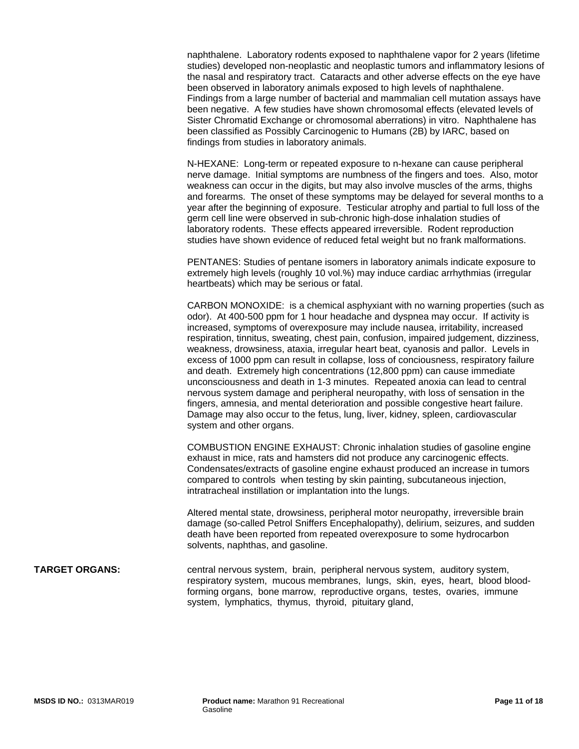naphthalene. Laboratory rodents exposed to naphthalene vapor for 2 years (lifetime studies) developed non-neoplastic and neoplastic tumors and inflammatory lesions of the nasal and respiratory tract. Cataracts and other adverse effects on the eye have been observed in laboratory animals exposed to high levels of naphthalene. Findings from a large number of bacterial and mammalian cell mutation assays have been negative. A few studies have shown chromosomal effects (elevated levels of Sister Chromatid Exchange or chromosomal aberrations) in vitro. Naphthalene has been classified as Possibly Carcinogenic to Humans (2B) by IARC, based on findings from studies in laboratory animals.

N-HEXANE: Long-term or repeated exposure to n-hexane can cause peripheral nerve damage. Initial symptoms are numbness of the fingers and toes. Also, motor weakness can occur in the digits, but may also involve muscles of the arms, thighs and forearms. The onset of these symptoms may be delayed for several months to a year after the beginning of exposure. Testicular atrophy and partial to full loss of the germ cell line were observed in sub-chronic high-dose inhalation studies of laboratory rodents. These effects appeared irreversible. Rodent reproduction studies have shown evidence of reduced fetal weight but no frank malformations.

PENTANES: Studies of pentane isomers in laboratory animals indicate exposure to extremely high levels (roughly 10 vol.%) may induce cardiac arrhythmias (irregular heartbeats) which may be serious or fatal.

CARBON MONOXIDE: is a chemical asphyxiant with no warning properties (such as odor). At 400-500 ppm for 1 hour headache and dyspnea may occur. If activity is increased, symptoms of overexposure may include nausea, irritability, increased respiration, tinnitus, sweating, chest pain, confusion, impaired judgement, dizziness, weakness, drowsiness, ataxia, irregular heart beat, cyanosis and pallor. Levels in excess of 1000 ppm can result in collapse, loss of conciousness, respiratory failure and death. Extremely high concentrations (12,800 ppm) can cause immediate unconsciousness and death in 1-3 minutes. Repeated anoxia can lead to central nervous system damage and peripheral neuropathy, with loss of sensation in the fingers, amnesia, and mental deterioration and possible congestive heart failure. Damage may also occur to the fetus, lung, liver, kidney, spleen, cardiovascular system and other organs.

COMBUSTION ENGINE EXHAUST: Chronic inhalation studies of gasoline engine exhaust in mice, rats and hamsters did not produce any carcinogenic effects. Condensates/extracts of gasoline engine exhaust produced an increase in tumors compared to controls when testing by skin painting, subcutaneous injection, intratracheal instillation or implantation into the lungs.

Altered mental state, drowsiness, peripheral motor neuropathy, irreversible brain damage (so-called Petrol Sniffers Encephalopathy), delirium, seizures, and sudden death have been reported from repeated overexposure to some hydrocarbon solvents, naphthas, and gasoline.

#### **TARGET ORGANS:** central nervous system, brain, peripheral nervous system, auditory system, respiratory system, mucous membranes, lungs, skin, eyes, heart, blood bloodforming organs, bone marrow, reproductive organs, testes, ovaries, immune system, lymphatics, thymus, thyroid, pituitary gland,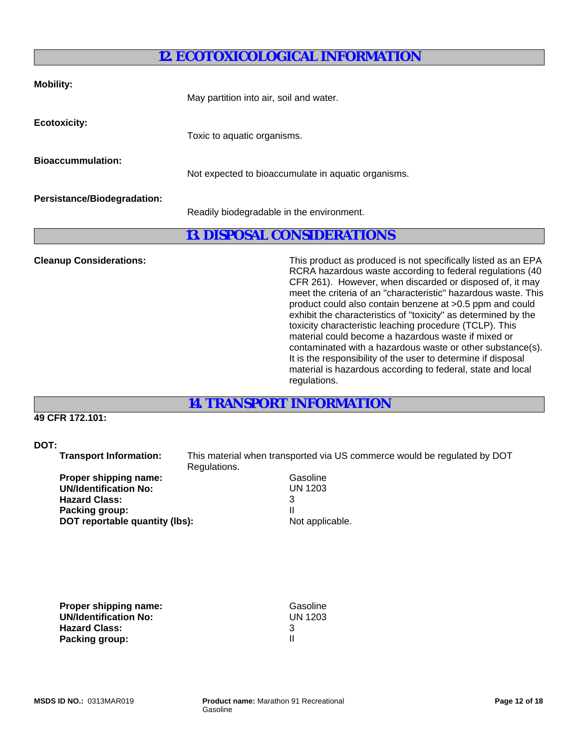## **12. ECOTOXICOLOGICAL INFORMATION**

| <b>Mobility:</b>                   | May partition into air, soil and water.             |
|------------------------------------|-----------------------------------------------------|
| <b>Ecotoxicity:</b>                | Toxic to aquatic organisms.                         |
| <b>Bioaccummulation:</b>           | Not expected to bioaccumulate in aquatic organisms. |
| <b>Persistance/Biodegradation:</b> | Readily biodegradable in the environment.           |

## **13. DISPOSAL CONSIDERATIONS**

**Cleanup Considerations:** This product as produced is not specifically listed as an EPA RCRA hazardous waste according to federal regulations (40 CFR 261). However, when discarded or disposed of, it may meet the criteria of an "characteristic" hazardous waste. This product could also contain benzene at >0.5 ppm and could exhibit the characteristics of "toxicity" as determined by the toxicity characteristic leaching procedure (TCLP). This material could become a hazardous waste if mixed or contaminated with a hazardous waste or other substance(s). It is the responsibility of the user to determine if disposal material is hazardous according to federal, state and local regulations.

**14. TRANSPORT INFORMATION**

## **49 CFR 172.101:**

### **DOT:**

 **Transport Information:** This material when transported via US commerce would be regulated by DOT Regulations.

| Gasoline       |
|----------------|
| <b>UN 1203</b> |
| 3              |
|                |
| Not appli      |
|                |

**UN 1203**<br>3 **Not applicable.** 

| Proper shipping name:        | Gasoline |
|------------------------------|----------|
| <b>UN/Identification No:</b> | UN 1203  |
| <b>Hazard Class:</b>         |          |
| <b>Packing group:</b>        |          |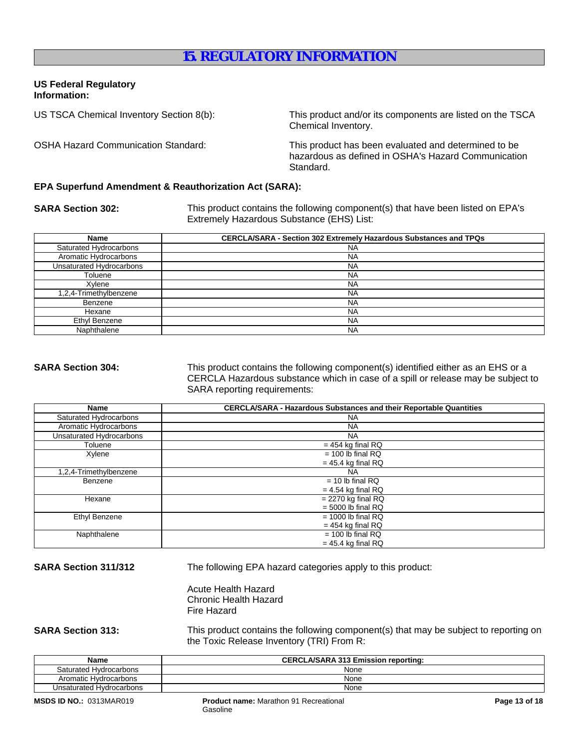## **15. REGULATORY INFORMATION**

### **US Federal Regulatory Information:**

US TSCA Chemical Inventory Section 8(b): This product and/or its components are listed on the TSCA Chemical Inventory.

OSHA Hazard Communication Standard: This product has been evaluated and determined to be hazardous as defined in OSHA's Hazard Communication Standard.

### **EPA Superfund Amendment & Reauthorization Act (SARA):**

**SARA Section 302:** This product contains the following component(s) that have been listed on EPA's Extremely Hazardous Substance (EHS) List:

| Name                     | <b>CERCLA/SARA - Section 302 Extremely Hazardous Substances and TPQs</b> |
|--------------------------|--------------------------------------------------------------------------|
| Saturated Hydrocarbons   | <b>NA</b>                                                                |
| Aromatic Hydrocarbons    | <b>NA</b>                                                                |
| Unsaturated Hydrocarbons | <b>NA</b>                                                                |
| Toluene                  | <b>NA</b>                                                                |
| Xvlene                   | <b>NA</b>                                                                |
| 1,2,4-Trimethylbenzene   | <b>NA</b>                                                                |
| Benzene                  | <b>NA</b>                                                                |
| Hexane                   | <b>NA</b>                                                                |
| Ethyl Benzene            | <b>NA</b>                                                                |
| Naphthalene              | <b>NA</b>                                                                |

**SARA Section 304:** This product contains the following component(s) identified either as an EHS or a CERCLA Hazardous substance which in case of a spill or release may be subject to SARA reporting requirements:

| Name                     | <b>CERCLA/SARA - Hazardous Substances and their Reportable Quantities</b> |  |
|--------------------------|---------------------------------------------------------------------------|--|
| Saturated Hydrocarbons   | <b>NA</b>                                                                 |  |
| Aromatic Hydrocarbons    | <b>NA</b>                                                                 |  |
| Unsaturated Hydrocarbons | <b>NA</b>                                                                 |  |
| Toluene                  | $= 454$ kg final RQ                                                       |  |
| Xylene                   | $= 100$ lb final RQ                                                       |  |
|                          | $= 45.4$ kg final RQ                                                      |  |
| 1,2,4-Trimethylbenzene   | <b>NA</b>                                                                 |  |
| Benzene                  | $= 10$ lb final RQ                                                        |  |
|                          | $= 4.54$ kg final RQ                                                      |  |
| Hexane                   | $= 2270$ kg final RQ                                                      |  |
|                          | $= 5000$ lb final RQ                                                      |  |
| Ethyl Benzene            | $= 1000$ lb final RQ                                                      |  |
| $= 454$ kg final RQ      |                                                                           |  |
| Naphthalene              | $= 100$ lb final RQ                                                       |  |
|                          | $= 45.4$ kg final RQ                                                      |  |

**SARA Section 311/312** The following EPA hazard categories apply to this product:

Acute Health Hazard Chronic Health Hazard Fire Hazard

**SARA Section 313:** This product contains the following component(s) that may be subject to reporting on the Toxic Release Inventory (TRI) From R:

| <b>Name</b>              | <b>CERCLA/SARA 313 Emission reporting:</b> |  |
|--------------------------|--------------------------------------------|--|
| Saturated Hydrocarbons   | None                                       |  |
| Aromatic Hydrocarbons    | None                                       |  |
| Unsaturated Hydrocarbons | None                                       |  |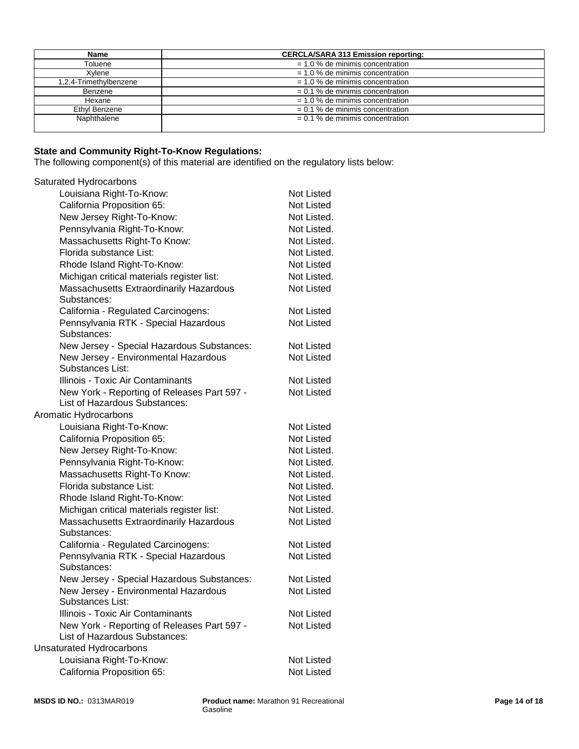| Name                   | <b>CERCLA/SARA 313 Emission reporting:</b> |  |
|------------------------|--------------------------------------------|--|
| Toluene                | $= 1.0$ % de minimis concentration         |  |
| Xvlene                 | $= 1.0$ % de minimis concentration         |  |
| 1,2,4-Trimethylbenzene | $= 1.0$ % de minimis concentration         |  |
| Benzene                | $= 0.1$ % de minimis concentration         |  |
| Hexane                 | $= 1.0$ % de minimis concentration         |  |
| Ethyl Benzene          | $= 0.1$ % de minimis concentration         |  |
| Naphthalene            | $= 0.1$ % de minimis concentration         |  |
|                        |                                            |  |

#### **State and Community Right-To-Know Regulations:**

The following component(s) of this material are identified on the regulatory lists below:

## Saturated Hydrocarbons

| Louisiana Right-To-Know:                                 | Not Listed        |
|----------------------------------------------------------|-------------------|
| California Proposition 65:                               | Not Listed        |
| New Jersey Right-To-Know:                                | Not Listed.       |
| Pennsylvania Right-To-Know:                              | Not Listed.       |
| Massachusetts Right-To Know:                             | Not Listed.       |
| Florida substance List:                                  | Not Listed.       |
| Rhode Island Right-To-Know:                              | Not Listed        |
| Michigan critical materials register list:               | Not Listed.       |
| Massachusetts Extraordinarily Hazardous                  | Not Listed        |
| Substances:                                              |                   |
| California - Regulated Carcinogens:                      | <b>Not Listed</b> |
| Pennsylvania RTK - Special Hazardous<br>Substances:      | <b>Not Listed</b> |
| New Jersey - Special Hazardous Substances:               | Not Listed        |
| New Jersey - Environmental Hazardous<br>Substances List: | <b>Not Listed</b> |
| Illinois - Toxic Air Contaminants                        | Not Listed        |
| New York - Reporting of Releases Part 597 -              | <b>Not Listed</b> |
| List of Hazardous Substances:                            |                   |
| Aromatic Hydrocarbons                                    |                   |
| Louisiana Right-To-Know:                                 | Not Listed        |
| California Proposition 65:                               | Not Listed        |
| New Jersey Right-To-Know:                                | Not Listed.       |
| Pennsylvania Right-To-Know:                              | Not Listed.       |
| Massachusetts Right-To Know:                             | Not Listed.       |
| Florida substance List:                                  | Not Listed.       |
| Rhode Island Right-To-Know:                              | Not Listed        |
| Michigan critical materials register list:               | Not Listed.       |
| Massachusetts Extraordinarily Hazardous                  | Not Listed        |
| Substances:                                              |                   |
| California - Regulated Carcinogens:                      | Not Listed        |
| Pennsylvania RTK - Special Hazardous<br>Substances:      | <b>Not Listed</b> |
| New Jersey - Special Hazardous Substances:               | Not Listed        |
| New Jersey - Environmental Hazardous                     | <b>Not Listed</b> |
| Substances List:                                         |                   |
| Illinois - Toxic Air Contaminants                        | Not Listed        |
| New York - Reporting of Releases Part 597 -              | <b>Not Listed</b> |
| List of Hazardous Substances:                            |                   |
| <b>Unsaturated Hydrocarbons</b>                          |                   |
| Louisiana Right-To-Know:                                 | Not Listed        |
| California Proposition 65:                               | Not Listed        |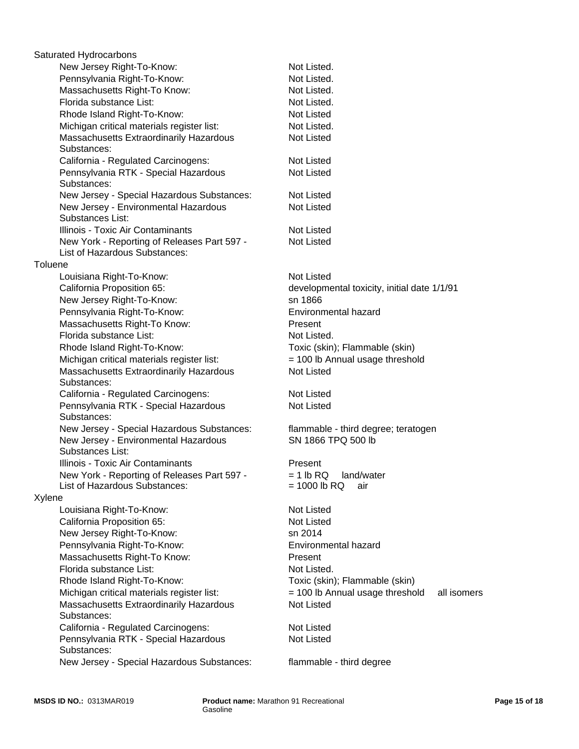|         | Saturated Hydrocarbons                                                       |                                                |
|---------|------------------------------------------------------------------------------|------------------------------------------------|
|         | New Jersey Right-To-Know:                                                    | Not Listed.                                    |
|         | Pennsylvania Right-To-Know:                                                  | Not Listed.                                    |
|         | Massachusetts Right-To Know:                                                 | Not Listed.                                    |
|         | Florida substance List:                                                      | Not Listed.                                    |
|         | Rhode Island Right-To-Know:                                                  | Not Listed                                     |
|         | Michigan critical materials register list:                                   | Not Listed.                                    |
|         | Massachusetts Extraordinarily Hazardous                                      | Not Listed                                     |
|         | Substances:                                                                  |                                                |
|         | California - Regulated Carcinogens:                                          | Not Listed                                     |
|         | Pennsylvania RTK - Special Hazardous<br>Substances:                          | <b>Not Listed</b>                              |
|         | New Jersey - Special Hazardous Substances:                                   | <b>Not Listed</b>                              |
|         | New Jersey - Environmental Hazardous<br>Substances List:                     | <b>Not Listed</b>                              |
|         | Illinois - Toxic Air Contaminants                                            | Not Listed                                     |
|         | New York - Reporting of Releases Part 597 -<br>List of Hazardous Substances: | <b>Not Listed</b>                              |
|         |                                                                              |                                                |
| Toluene |                                                                              |                                                |
|         | Louisiana Right-To-Know:                                                     | <b>Not Listed</b>                              |
|         | California Proposition 65:                                                   | developmental toxicity, initial date 1/1/91    |
|         | New Jersey Right-To-Know:                                                    | sn 1866                                        |
|         | Pennsylvania Right-To-Know:                                                  | Environmental hazard                           |
|         | Massachusetts Right-To Know:                                                 | Present                                        |
|         | Florida substance List:                                                      | Not Listed.                                    |
|         | Rhode Island Right-To-Know:                                                  | Toxic (skin); Flammable (skin)                 |
|         | Michigan critical materials register list:                                   | = 100 lb Annual usage threshold                |
|         | Massachusetts Extraordinarily Hazardous<br>Substances:                       | <b>Not Listed</b>                              |
|         | California - Regulated Carcinogens:                                          | <b>Not Listed</b>                              |
|         | Pennsylvania RTK - Special Hazardous<br>Substances:                          | <b>Not Listed</b>                              |
|         | New Jersey - Special Hazardous Substances:                                   | flammable - third degree; teratogen            |
|         | New Jersey - Environmental Hazardous<br>Substances List:                     | SN 1866 TPQ 500 lb                             |
|         | Illinois - Toxic Air Contaminants                                            | Present                                        |
|         | New York - Reporting of Releases Part 597 -                                  | $= 1$ lb RQ land/water                         |
|         | List of Hazardous Substances:                                                | $= 1000$ lb RQ<br>air                          |
| Xylene  |                                                                              |                                                |
|         | Louisiana Right-To-Know:                                                     | <b>Not Listed</b>                              |
|         | California Proposition 65:                                                   | Not Listed                                     |
|         |                                                                              | sn 2014                                        |
|         | New Jersey Right-To-Know:                                                    |                                                |
|         | Pennsylvania Right-To-Know:                                                  | Environmental hazard                           |
|         | Massachusetts Right-To Know:                                                 | Present                                        |
|         | Florida substance List:                                                      | Not Listed.                                    |
|         | Rhode Island Right-To-Know:                                                  | Toxic (skin); Flammable (skin)                 |
|         | Michigan critical materials register list:                                   | = 100 lb Annual usage threshold<br>all isomers |
|         | Massachusetts Extraordinarily Hazardous<br>Substances:                       | <b>Not Listed</b>                              |
|         | California - Regulated Carcinogens:                                          | <b>Not Listed</b>                              |
|         | Pennsylvania RTK - Special Hazardous                                         | Not Listed                                     |
|         | Substances:                                                                  |                                                |
|         | New Jersey - Special Hazardous Substances:                                   | flammable - third degree                       |
|         |                                                                              |                                                |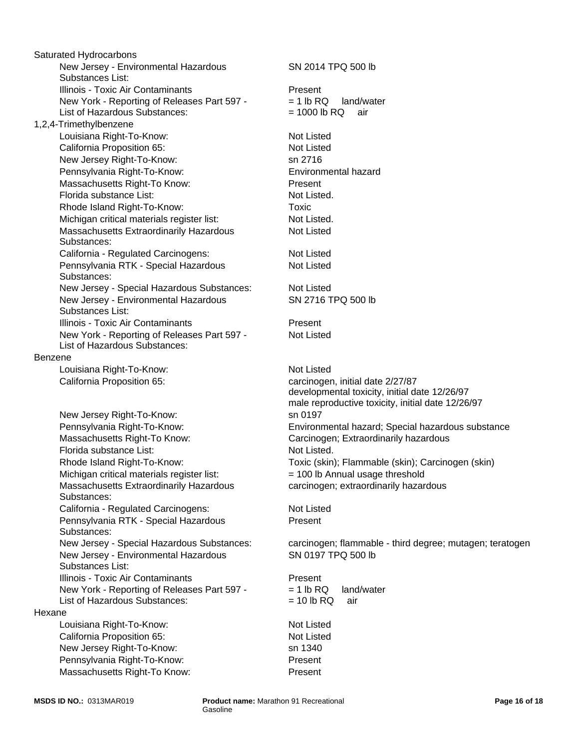New Jersey - Environmental Hazardous Substances List: Illinois - Toxic Air Contaminants **Present** New Jersey Right-To-Know: sn 2716 New York - Reporting of Releases Part 597 - List of Hazardous Substances: New Jersey - Environmental Hazardous Substances List: Benzene Pennsylvania Right-To-Know: Louisiana Right-To-Know: Not Listed New York - Reporting of Releases Part 597 - List of Hazardous Substances: California Proposition 65: carcinogen, initial date 2/27/87 New Jersey Right-To-Know: sn 0197 Massachusetts Right-To Know: Nassachusetts Right-To Know: Massachusetts Right-To Know: Carcinogen; Extraordinarily hazardous Florida substance List: Not Listed. Florida substance List: Not Listed. Rhode Island Right-To-Know: Toxic (skin); Flammable (skin); Carcinogen (skin) 1,2,4-Trimethylbenzene Michigan critical materials register list:  $= 100$  lb Annual usage threshold Rhode Island Right-To-Know: Massachusetts Extraordinarily Hazardous Substances: Saturated Hydrocarbons California - Regulated Carcinogens: Not Listed Pennsylvania RTK - Special Hazardous Substances: Michigan critical materials register list: Not Listed. New Jersey - Environmental Hazardous Substances List: Louisiana Right-To-Know: Illinois - Toxic Air Contaminants **Present** Massachusetts Extraordinarily Hazardous Substances: New York - Reporting of Releases Part 597 - List of Hazardous Substances: Hexane California - Regulated Carcinogens: Louisiana Right-To-Know: Not Listed Illinois - Toxic Air Contaminants California Proposition 65: Not Listed New Jersey Right-To-Know: sn 1340 Pennsylvania RTK - Special Hazardous Substances: Pennsylvania Right-To-Know: Present California Proposition 65: Massachusetts Right-To Know: Present New Jersey - Special Hazardous Substances:

SN 2716 TPQ 500 lb Not Listed Environmental hazard developmental toxicity, initial date 12/26/97 male reproductive toxicity, initial date 12/26/97  $= 1$  lb RQ land/water  $= 1000$  lb RQ air Pennsylvania Right-To-Know: Environmental hazard; Special hazardous substance SN 2014 TPQ 500 lb carcinogen; extraordinarily hazardous **Toxic** Present New Jersey - Special Hazardous Substances: carcinogen; flammable - third degree; mutagen; teratogen SN 0197 TPQ 500 lb Not Listed Not Listed Not Listed Present Not Listed Not Listed Not Listed

> $= 1$  lb RQ land/water  $= 10$  lb RQ air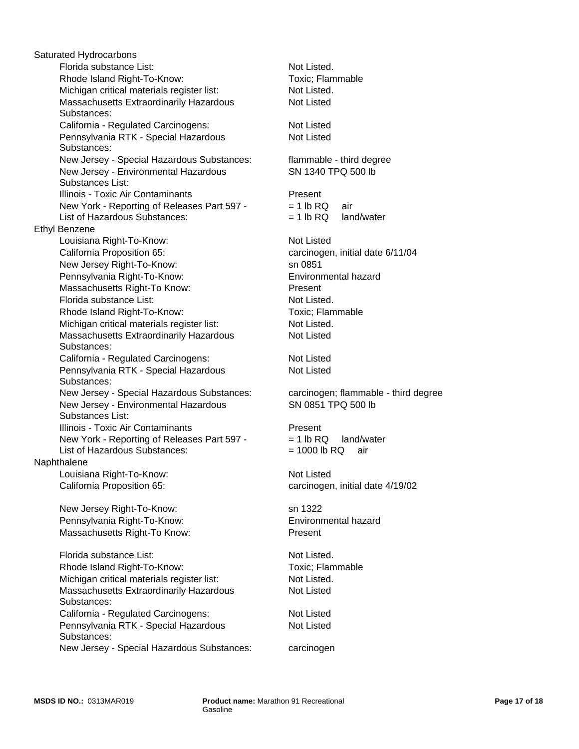Pennsylvania RTK - Special Hazardous Substances: Florida substance List: Not Listed. Rhode Island Right-To-Know: Toxic; Flammable New Jersey - Special Hazardous Substances: Michigan critical materials register list: Not Listed. Florida substance List: Massachusetts Extraordinarily Hazardous Substances: California - Regulated Carcinogens: Not Listed New Jersey - Environmental Hazardous Substances List: Pennsylvania RTK - Special Hazardous Substances: Michigan critical materials register list: Not Listed. New Jersey - Special Hazardous Substances: carcinogen; flammable - third degree New Jersey - Environmental Hazardous Substances List: Illinois - Toxic Air Contaminants **Present** Illinois - Toxic Air Contaminants **Present**  New York - Reporting of Releases Part 597 - List of Hazardous Substances: New York - Reporting of Releases Part 597 - List of Hazardous Substances: Naphthalene Louisiana Right-To-Know: Not Listed Massachusetts Extraordinarily Hazardous Substances: California Proposition 65: carcinogen, initial date 4/19/02 Ethyl Benzene New Jersey Right-To-Know: sn 1322 Saturated Hydrocarbons Pennsylvania Right-To-Know: Environmental hazard Louisiana Right-To-Know: Not Listed Massachusetts Right-To Know: Present Florida substance List: Not Listed. Rhode Island Right-To-Know: Toxic; Flammable California Proposition 65: carcinogen, initial date 6/11/04 Michigan critical materials register list: Not Listed. California - Regulated Carcinogens: Not Listed Massachusetts Extraordinarily Hazardous Substances: New Jersey Right-To-Know: California - Regulated Carcinogens: Not Listed Pennsylvania RTK - Special Hazardous Substances: Rhode Island Right-To-Know: Pennsylvania Right-To-Know: Environmental hazard Massachusetts Right-To Know:

New Jersey - Special Hazardous Substances: carcinogen

Present Not Listed flammable - third degree Not Listed SN 1340 TPQ 500 lb Not Listed SN 0851 TPQ 500 lb Not Listed.  $= 1$  lb RQ land/water  $= 1000$  lb RQ air  $= 1$  lb RQ air  $= 1$  lb RQ land/water Not Listed Not Listed sn 0851 Toxic; Flammable

Not Listed